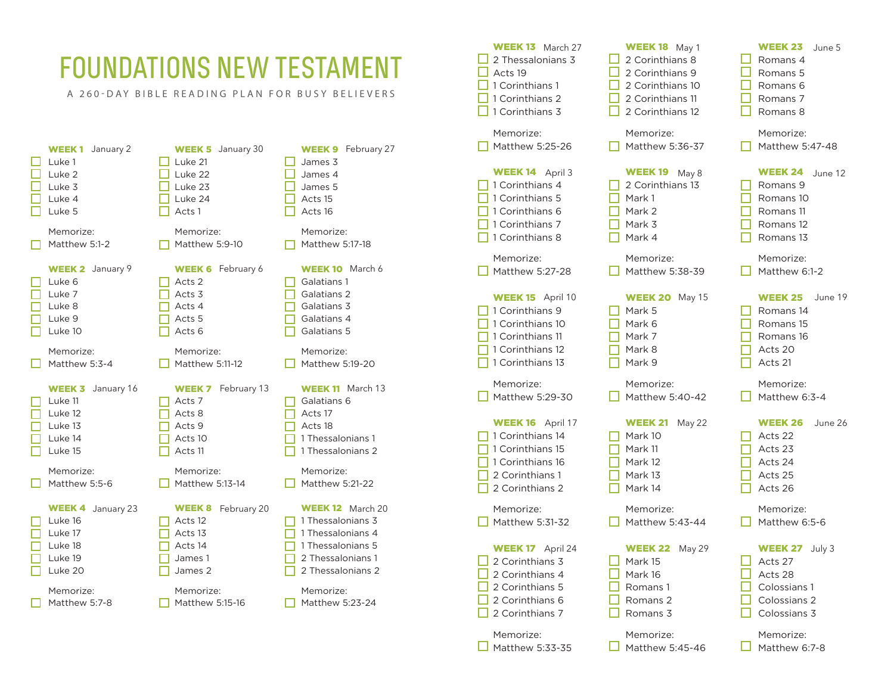## FOUNDATIONS NEW TESTAMENT

A 260-DAY BIBLE READING PLAN FOR BUSY BELIEVERS

| January 2<br><b>WEEK1</b><br>Luke 1<br>Luke 2<br>Luke 3<br>Luke 4<br>Luke 5                               | <b>WEEK 5</b> January 30<br>Luke 21<br>Luke 22<br>Luke 23<br>Luke 24<br>Acts 1                                      | <b>WEEK 9</b> February 27<br>James 3<br>James 4<br>James 5<br>Acts 15<br>Acts 16                                                                                 |
|-----------------------------------------------------------------------------------------------------------|---------------------------------------------------------------------------------------------------------------------|------------------------------------------------------------------------------------------------------------------------------------------------------------------|
| Memorize:                                                                                                 | Memorize:                                                                                                           | Memorize:                                                                                                                                                        |
| Matthew 5:1-2                                                                                             | Matthew 5:9-10                                                                                                      | Matthew 5:17-18                                                                                                                                                  |
| <b>WEEK 2</b> January 9                                                                                   | <b>WEEK 6</b> February 6                                                                                            | <b>WEEK 10</b> March 6                                                                                                                                           |
| Luke 6                                                                                                    | Acts 2                                                                                                              | Galatians 1                                                                                                                                                      |
| Luke 7                                                                                                    | Acts <sub>3</sub>                                                                                                   | Galatians 2                                                                                                                                                      |
| Luke 8                                                                                                    | Acts 4                                                                                                              | Galatians 3                                                                                                                                                      |
| Luke 9                                                                                                    | Acts <sub>5</sub>                                                                                                   | Galatians 4                                                                                                                                                      |
| Luke 10                                                                                                   | Acts 6                                                                                                              | Galatians 5                                                                                                                                                      |
| Memorize:                                                                                                 | Memorize:                                                                                                           | Memorize:                                                                                                                                                        |
| Matthew 5:3-4                                                                                             | Matthew 5:11-12                                                                                                     | Matthew 5:19-20                                                                                                                                                  |
|                                                                                                           |                                                                                                                     |                                                                                                                                                                  |
| January 16<br><b>WEEK 3</b><br>Luke 11<br>Luke 12<br>Luke 13<br>Luke 14<br>Luke 15                        | February 13<br>WEEK 7<br>Acts 7<br>Acts 8<br>Acts 9<br>Acts 10<br>Acts 11                                           | <b>WEEK 11</b> March 13<br>Galatians 6<br>Acts 17<br>Acts 18<br>1 Thessalonians 1<br>1 Thessalonians 2                                                           |
| Memorize:                                                                                                 | Memorize:                                                                                                           | Memorize:                                                                                                                                                        |
| Matthew 5:5-6                                                                                             | Matthew 5:13-14                                                                                                     | Matthew 5:21-22                                                                                                                                                  |
| WEEK 4<br>January 23<br>Luke 16<br>Luke 17<br>Luke 18<br>Luke 19<br>Luke 20<br>Memorize:<br>Matthew 5:7-8 | <b>WEEK 8</b><br>February 20<br>Acts 12<br>Acts 13<br>Acts 14<br>James 1<br>James 2<br>Memorize:<br>Matthew 5:15-16 | <b>WEEK 12</b> March 20<br>1 Thessalonians 3<br>1 Thessalonians 4<br>1 Thessalonians 5<br>2 Thessalonians 1<br>2 Thessalonians 2<br>Memorize:<br>Matthew 5:23-24 |

| <b>WEEK 13</b> March 27<br>2 Thessalonians 3<br>Acts 19<br>1 Corinthians 1<br>1 Corinthians 2<br>1 Corinthians 3           | <b>WEEK 18</b> May 1<br>2 Corinthians 8<br>2 Corinthians 9<br>2 Corinthians 10<br>2 Corinthians 11<br>2 Corinthians 12 | <b>WEEK 23</b><br>June 5<br>Romans 4<br>Romans 5<br>Romans 6<br>Romans 7<br>Romans 8   |
|----------------------------------------------------------------------------------------------------------------------------|------------------------------------------------------------------------------------------------------------------------|----------------------------------------------------------------------------------------|
| Memorize:                                                                                                                  | Memorize:                                                                                                              | Memorize:                                                                              |
| Matthew 5:25-26                                                                                                            | Matthew 5:36-37                                                                                                        | Matthew 5:47-48                                                                        |
| WEEK 14 April 3<br>1 Corinthians 4<br>1 Corinthians 5<br>1 Corinthians 6<br>1 Corinthians 7<br>1 Corinthians 8             | <b>WEEK19</b><br>May 8<br>2 Corinthians 13<br>Mark 1<br>Mark 2<br>Mark 3<br>Mark 4                                     | WEEK 24 June 12<br>Romans 9<br>Romans 10<br>Romans 11<br>Romans 12<br>Romans 13        |
| Memorize:                                                                                                                  | Memorize:                                                                                                              | Memorize:                                                                              |
| Matthew 5:27-28                                                                                                            | Matthew 5:38-39                                                                                                        | Matthew 6:1-2                                                                          |
| <b>WEEK 15</b> April 10<br>1 Corinthians 9<br>1 Corinthians 10<br>1 Corinthians 11<br>1 Corinthians 12<br>1 Corinthians 13 | <b>WEEK 20 May 15</b><br>Mark 5<br>Mark 6<br>Mark 7<br>Mark 8<br>Mark 9                                                | <b>WEEK 25</b><br>June 19<br>Romans 14<br>Romans 15<br>Romans 16<br>Acts 20<br>Acts 21 |
| Memorize:                                                                                                                  | Memorize:                                                                                                              | Memorize:                                                                              |
| Matthew 5:29-30                                                                                                            | Matthew 5:40-42                                                                                                        | Matthew 6:3-4                                                                          |
| <b>WEEK 16</b> April 17<br>1 Corinthians 14<br>1 Corinthians 15<br>1 Corinthians 16<br>2 Corinthians 1<br>2 Corinthians 2  | <b>WEEK 21</b><br>May 22<br>Mark 10<br>Mark 11<br>Mark 12<br>Mark 13<br>Mark 14                                        | <b>WEEK 26</b><br>June 26<br>Acts 22<br>Acts 23<br>Acts 24<br>Acts 25<br>Acts 26       |
| Memorize:                                                                                                                  | Memorize:                                                                                                              | Memorize:                                                                              |
| Matthew 5:31-32                                                                                                            | Matthew 5:43-44                                                                                                        | Matthew 6:5-6                                                                          |
| <b>WEEK 17</b> April 24<br>2 Corinthians 3<br>2 Corinthians 4<br>2 Corinthians 5<br>2 Corinthians 6<br>2 Corinthians 7     | May 29<br><b>WEEK 22</b><br>Mark 15<br>Mark 16<br>Romans 1<br>Romans 2<br>Romans 3                                     | WEEK 27 July 3<br>Acts 27<br>Acts 28<br>Colossians 1<br>Colossians 2<br>Colossians 3   |
| Memorize:                                                                                                                  | Memorize:                                                                                                              | Memorize:                                                                              |
| Matthew 5:33-35                                                                                                            | Matthew 5:45-46                                                                                                        | Matthew 6:7-8                                                                          |